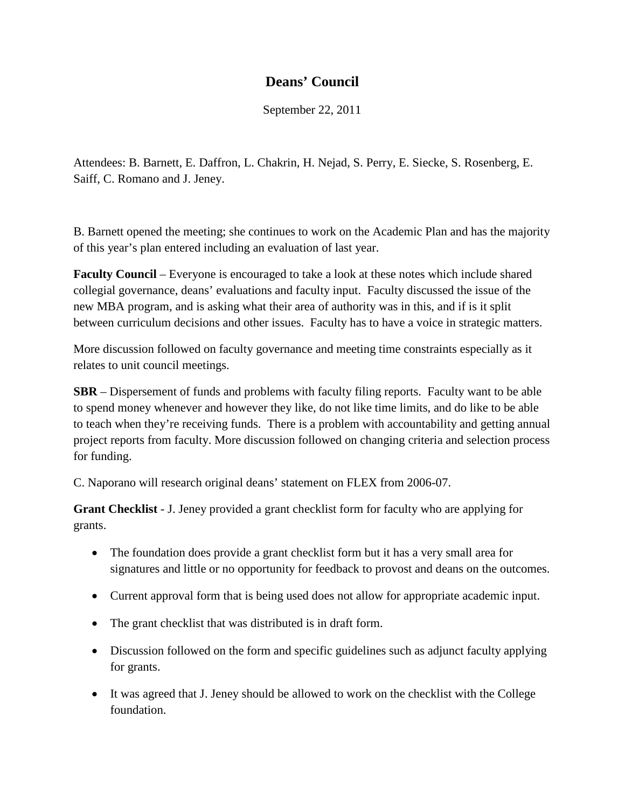## **Deans' Council**

September 22, 2011

Attendees: B. Barnett, E. Daffron, L. Chakrin, H. Nejad, S. Perry, E. Siecke, S. Rosenberg, E. Saiff, C. Romano and J. Jeney.

B. Barnett opened the meeting; she continues to work on the Academic Plan and has the majority of this year's plan entered including an evaluation of last year.

**Faculty Council** – Everyone is encouraged to take a look at these notes which include shared collegial governance, deans' evaluations and faculty input. Faculty discussed the issue of the new MBA program, and is asking what their area of authority was in this, and if is it split between curriculum decisions and other issues. Faculty has to have a voice in strategic matters.

More discussion followed on faculty governance and meeting time constraints especially as it relates to unit council meetings.

**SBR** – Dispersement of funds and problems with faculty filing reports. Faculty want to be able to spend money whenever and however they like, do not like time limits, and do like to be able to teach when they're receiving funds. There is a problem with accountability and getting annual project reports from faculty. More discussion followed on changing criteria and selection process for funding.

C. Naporano will research original deans' statement on FLEX from 2006-07.

**Grant Checklist** - J. Jeney provided a grant checklist form for faculty who are applying for grants.

- The foundation does provide a grant checklist form but it has a very small area for signatures and little or no opportunity for feedback to provost and deans on the outcomes.
- Current approval form that is being used does not allow for appropriate academic input.
- The grant checklist that was distributed is in draft form.
- Discussion followed on the form and specific guidelines such as adjunct faculty applying for grants.
- It was agreed that J. Jeney should be allowed to work on the checklist with the College foundation.